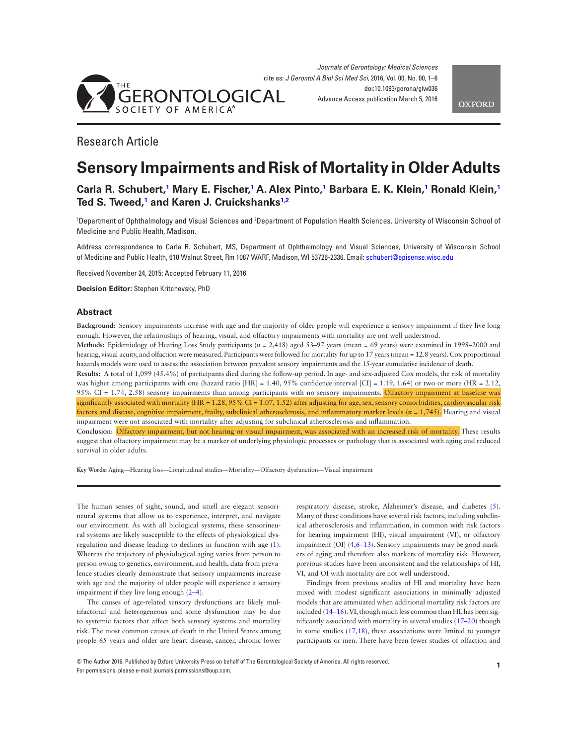

# Research Article

# **Sensory Impairments and Risk of Mortality in Older Adults**

# Carla R. Schubert,<sup>1</sup> Mary E. Fischer,<sup>1</sup> A. Alex Pinto,<sup>1</sup> Barbara E. K. Klein,<sup>1</sup> Ronald Klein,<sup>1</sup> **Ted S. Tweed, 1 and Karen J. Cruickshanks1,2**

<sup>1</sup>Department of Ophthalmology and Visual Sciences and <sup>2</sup>Department of Population Health Sciences, University of Wisconsin School of Medicine and Public Health, Madison.

Address correspondence to Carla R. Schubert, MS, Department of Ophthalmology and Visual Sciences, University of Wisconsin School of Medicine and Public Health, 610 Walnut Street, Rm 1087 WARF, Madison, WI 53726-2336. Email: schubert@episense.wisc.edu

Received November 24, 2015; Accepted February 11, 2016

**Decision Editor:** Stephen Kritchevsky, PhD

## **Abstract**

**Background:** Sensory impairments increase with age and the majority of older people will experience a sensory impairment if they live long enough. However, the relationships of hearing, visual, and olfactory impairments with mortality are not well understood.

**Methods:** Epidemiology of Hearing Loss Study participants (*n* = 2,418) aged 53–97 years (mean = 69 years) were examined in 1998–2000 and hearing, visual acuity, and olfaction were measured. Participants were followed for mortality for up to 17 years (mean = 12.8 years). Cox proportional hazards models were used to assess the association between prevalent sensory impairments and the 15-year cumulative incidence of death.

**Results:** A total of 1,099 (45.4%) of participants died during the follow-up period. In age- and sex-adjusted Cox models, the risk of mortality was higher among participants with one (hazard ratio [HR] = 1.40, 95% confdence interval [CI] = 1.19, 1.64) or two or more (HR = 2.12, 95% CI = 1.74, 2.58) sensory impairments than among participants with no sensory impairments. Olfactory impairment at baseline was signifcantly associated with mortality (HR = 1.28, 95% CI = 1.07, 1.52) after adjusting for age, sex, sensory comorbidities, cardiovascular risk factors and disease, cognitive impairment, frailty, subclinical atherosclerosis, and infammatory marker levels (*n* = 1,745). Hearing and visual impairment were not associated with mortality after adjusting for subclinical atherosclerosis and infammation.

**Conclusion:** Olfactory impairment, but not hearing or visual impairment, was associated with an increased risk of mortality. These results suggest that olfactory impairment may be a marker of underlying physiologic processes or pathology that is associated with aging and reduced survival in older adults.

**Key Words:** Aging—Hearing loss—Longitudinal studies—Mortality—Olfactory dysfunction—Visual impairment

The human senses of sight, sound, and smell are elegant sensorineural systems that allow us to experience, interpret, and navigate our environment. As with all biological systems, these sensorineural systems are likely susceptible to the effects of physiological dysregulation and disease leading to declines in function with age (1). Whereas the trajectory of physiological aging varies from person to person owing to genetics, environment, and health, data from prevalence studies clearly demonstrate that sensory impairments increase with age and the majority of older people will experience a sensory impairment if they live long enough (2–4).

The causes of age-related sensory dysfunctions are likely multifactorial and heterogeneous and some dysfunction may be due to systemic factors that affect both sensory systems and mortality risk. The most common causes of death in the United States among people 65 years and older are heart disease, cancer, chronic lower

respiratory disease, stroke, Alzheimer's disease, and diabetes (5). Many of these conditions have several risk factors, including subclinical atherosclerosis and infammation, in common with risk factors for hearing impairment (HI), visual impairment (VI), or olfactory impairment (OI) (4,6–13). Sensory impairments may be good markers of aging and therefore also markers of mortality risk. However, previous studies have been inconsistent and the relationships of HI, VI, and OI with mortality are not well understood.

Findings from previous studies of HI and mortality have been mixed with modest signifcant associations in minimally adjusted models that are attenuated when additional mortality risk factors are included (14–16). VI, though much less common than HI, has been signifcantly associated with mortality in several studies (17–20) though in some studies (17,18), these associations were limited to younger participants or men. There have been fewer studies of olfaction and

© The Author 2016. Published by Oxford University Press on behalf of The Gerontological Society of America. All rights reserved. For permissions, please e-mail: journals.permissions@oup.com.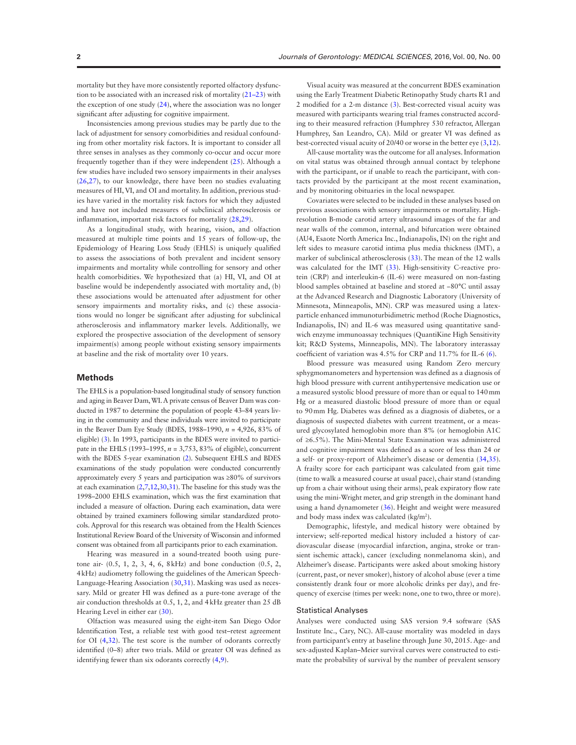mortality but they have more consistently reported olfactory dysfunction to be associated with an increased risk of mortality (21–23) with the exception of one study (24), where the association was no longer signifcant after adjusting for cognitive impairment.

Inconsistencies among previous studies may be partly due to the lack of adjustment for sensory comorbidities and residual confounding from other mortality risk factors. It is important to consider all three senses in analyses as they commonly co-occur and occur more frequently together than if they were independent (25). Although a few studies have included two sensory impairments in their analyses (26,27), to our knowledge, there have been no studies evaluating measures of HI, VI, and OI and mortality. In addition, previous studies have varied in the mortality risk factors for which they adjusted and have not included measures of subclinical atherosclerosis or infammation, important risk factors for mortality (28,29).

As a longitudinal study, with hearing, vision, and olfaction measured at multiple time points and 15 years of follow-up, the Epidemiology of Hearing Loss Study (EHLS) is uniquely qualifed to assess the associations of both prevalent and incident sensory impairments and mortality while controlling for sensory and other health comorbidities. We hypothesized that (a) HI, VI, and OI at baseline would be independently associated with mortality and, (b) these associations would be attenuated after adjustment for other sensory impairments and mortality risks, and (c) these associations would no longer be signifcant after adjusting for subclinical atherosclerosis and infammatory marker levels. Additionally, we explored the prospective association of the development of sensory impairment(s) among people without existing sensory impairments at baseline and the risk of mortality over 10 years.

## **Methods**

The EHLS is a population-based longitudinal study of sensory function and aging in Beaver Dam, WI. A private census of Beaver Dam was conducted in 1987 to determine the population of people 43–84 years living in the community and these individuals were invited to participate in the Beaver Dam Eye Study (BDES, 1988–1990, *n* = 4,926, 83% of eligible) (3). In 1993, participants in the BDES were invited to participate in the EHLS (1993–1995, *n* = 3,753, 83% of eligible), concurrent with the BDES 5-year examination (2). Subsequent EHLS and BDES examinations of the study population were conducted concurrently approximately every 5 years and participation was ≥80% of survivors at each examination  $(2,7,12,30,31)$ . The baseline for this study was the 1998–2000 EHLS examination, which was the frst examination that included a measure of olfaction. During each examination, data were obtained by trained examiners following similar standardized protocols. Approval for this research was obtained from the Health Sciences Institutional Review Board of the University of Wisconsin and informed consent was obtained from all participants prior to each examination.

Hearing was measured in a sound-treated booth using puretone air- (0.5, 1, 2, 3, 4, 6, 8kHz) and bone conduction (0.5, 2, 4kHz) audiometry following the guidelines of the American Speech-Language-Hearing Association (30,31). Masking was used as necessary. Mild or greater HI was defned as a pure-tone average of the air conduction thresholds at 0.5, 1, 2, and 4kHz greater than 25 dB Hearing Level in either ear (30).

Olfaction was measured using the eight-item San Diego Odor Identifcation Test, a reliable test with good test–retest agreement for OI (4,32). The test score is the number of odorants correctly identifed (0–8) after two trials. Mild or greater OI was defned as identifying fewer than six odorants correctly (4,9).

Visual acuity was measured at the concurrent BDES examination using the Early Treatment Diabetic Retinopathy Study charts R1 and 2 modifed for a 2-m distance (3). Best-corrected visual acuity was measured with participants wearing trial frames constructed according to their measured refraction (Humphrey 530 refractor, Allergan Humphrey, San Leandro, CA). Mild or greater VI was defned as best-corrected visual acuity of 20/40 or worse in the better eye (3,12).

All-cause mortality was the outcome for all analyses. Information on vital status was obtained through annual contact by telephone with the participant, or if unable to reach the participant, with contacts provided by the participant at the most recent examination, and by monitoring obituaries in the local newspaper.

Covariates were selected to be included in these analyses based on previous associations with sensory impairments or mortality. Highresolution B-mode carotid artery ultrasound images of the far and near walls of the common, internal, and bifurcation were obtained (AU4, Esaote North America Inc., Indianapolis, IN) on the right and left sides to measure carotid intima plus media thickness (IMT), a marker of subclinical atherosclerosis (33). The mean of the 12 walls was calculated for the IMT (33). High-sensitivity C-reactive protein (CRP) and interleukin-6 (IL-6) were measured on non-fasting blood samples obtained at baseline and stored at −80°C until assay at the Advanced Research and Diagnostic Laboratory (University of Minnesota, Minneapolis, MN). CRP was measured using a latexparticle enhanced immunoturbidimetric method (Roche Diagnostics, Indianapolis, IN) and IL-6 was measured using quantitative sandwich enzyme immunoassay techniques (QuantiKine High Sensitivity kit; R&D Systems, Minneapolis, MN). The laboratory interassay coeffcient of variation was 4.5% for CRP and 11.7% for IL-6 (6).

Blood pressure was measured using Random Zero mercury sphygmomanometers and hypertension was defned as a diagnosis of high blood pressure with current antihypertensive medication use or a measured systolic blood pressure of more than or equal to 140mm Hg or a measured diastolic blood pressure of more than or equal to 90mm Hg. Diabetes was defned as a diagnosis of diabetes, or a diagnosis of suspected diabetes with current treatment, or a measured glycosylated hemoglobin more than 8% (or hemoglobin A1C of ≥6.5%). The Mini-Mental State Examination was administered and cognitive impairment was defned as a score of less than 24 or a self- or proxy-report of Alzheimer's disease or dementia (34,35). A frailty score for each participant was calculated from gait time (time to walk a measured course at usual pace), chair stand (standing up from a chair without using their arms), peak expiratory fow rate using the mini-Wright meter, and grip strength in the dominant hand using a hand dynamometer (36). Height and weight were measured and body mass index was calculated (kg/m<sup>2</sup>).

Demographic, lifestyle, and medical history were obtained by interview; self-reported medical history included a history of cardiovascular disease (myocardial infarction, angina, stroke or transient ischemic attack), cancer (excluding nonmelanoma skin), and Alzheimer's disease. Participants were asked about smoking history (current, past, or never smoker), history of alcohol abuse (ever a time consistently drank four or more alcoholic drinks per day), and frequency of exercise (times per week: none, one to two, three or more).

#### Statistical Analyses

Analyses were conducted using SAS version 9.4 software (SAS Institute Inc., Cary, NC). All-cause mortality was modeled in days from participant's entry at baseline through June 30, 2015. Age- and sex-adjusted Kaplan–Meier survival curves were constructed to estimate the probability of survival by the number of prevalent sensory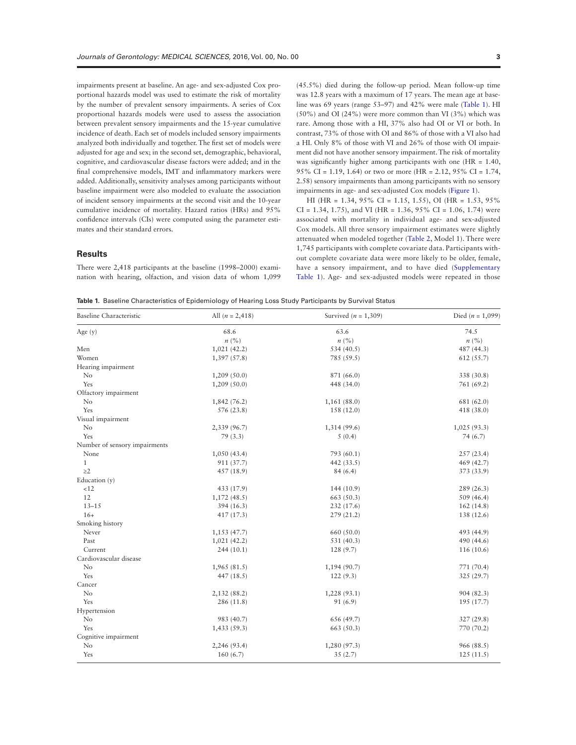impairments present at baseline. An age- and sex-adjusted Cox proportional hazards model was used to estimate the risk of mortality by the number of prevalent sensory impairments. A series of Cox proportional hazards models were used to assess the association between prevalent sensory impairments and the 15-year cumulative incidence of death. Each set of models included sensory impairments analyzed both individually and together. The frst set of models were adjusted for age and sex; in the second set, demographic, behavioral, cognitive, and cardiovascular disease factors were added; and in the fnal comprehensive models, IMT and infammatory markers were added. Additionally, sensitivity analyses among participants without baseline impairment were also modeled to evaluate the association of incident sensory impairments at the second visit and the 10-year cumulative incidence of mortality. Hazard ratios (HRs) and 95% confdence intervals (CIs) were computed using the parameter estimates and their standard errors.

## **Results**

There were 2,418 participants at the baseline (1998–2000) examination with hearing, olfaction, and vision data of whom 1,099 (45.5%) died during the follow-up period. Mean follow-up time was 12.8 years with a maximum of 17 years. The mean age at baseline was 69 years (range 53–97) and 42% were male (Table 1). HI (50%) and OI (24%) were more common than VI (3%) which was rare. Among those with a HI, 37% also had OI or VI or both. In contrast, 73% of those with OI and 86% of those with a VI also had a HI. Only 8% of those with VI and 26% of those with OI impairment did not have another sensory impairment. The risk of mortality was significantly higher among participants with one (HR = 1.40, 95% CI = 1.19, 1.64) or two or more (HR = 2.12, 95% CI = 1.74, 2.58) sensory impairments than among participants with no sensory impairments in age- and sex-adjusted Cox models (Figure 1).

HI (HR = 1.34, 95% CI = 1.15, 1.55), OI (HR = 1.53, 95%  $CI = 1.34, 1.75$ , and VI (HR = 1.36, 95% CI = 1.06, 1.74) were associated with mortality in individual age- and sex-adjusted Cox models. All three sensory impairment estimates were slightly attenuated when modeled together (Table 2, Model 1). There were 1,745 participants with complete covariate data. Participants without complete covariate data were more likely to be older, female, have a sensory impairment, and to have died (Supplementary Table 1). Age- and sex-adjusted models were repeated in those

**Table 1.** Baseline Characteristics of Epidemiology of Hearing Loss Study Participants by Survival Status

| <b>Baseline Characteristic</b> | All $(n = 2,418)$           | Survived ( $n = 1,309$ )    | Died ( $n = 1,099$ ) |
|--------------------------------|-----------------------------|-----------------------------|----------------------|
| Age $(y)$                      | 68.6                        | 63.6                        | 74.5                 |
|                                | $n\left(\frac{0}{0}\right)$ | $n\left(\frac{0}{0}\right)$ | n (%)                |
| Men                            | 1,021(42.2)                 | 534 $(40.5)$                | 487 (44.3)           |
| Women                          | 1,397(57.8)                 | 785 (59.5)                  | 612(55.7)            |
| Hearing impairment             |                             |                             |                      |
| No                             | 1,209(50.0)                 | 871 (66.0)                  | 338 (30.8)           |
| Yes                            | 1,209(50.0)                 | 448 (34.0)                  | 761 (69.2)           |
| Olfactory impairment           |                             |                             |                      |
| No                             | 1,842(76.2)                 | 1,161(88.0)                 | 681 (62.0)           |
| Yes                            | 576 (23.8)                  | 158 (12.0)                  | 418 (38.0)           |
| Visual impairment              |                             |                             |                      |
| No                             | 2,339 (96.7)                | 1,314 (99.6)                | 1,025(93.3)          |
| Yes                            | 79(3.3)                     | 5(0.4)                      | 74 (6.7)             |
| Number of sensory impairments  |                             |                             |                      |
| None                           | 1,050(43.4)                 | 793 (60.1)                  | 257(23.4)            |
| $\mathbf{1}$                   | 911 (37.7)                  | 442 $(33.5)$                | 469 (42.7)           |
| $\geq$ 2                       | 457(18.9)                   | 84(6.4)                     | 373 (33.9)           |
| Education (y)                  |                             |                             |                      |
| <12                            | 433 (17.9)                  | 144 (10.9)                  | 289(26.3)            |
| 12                             | 1,172(48.5)                 | 663 (50.3)                  | 509(46.4)            |
| $13 - 15$                      | 394(16.3)                   | 232(17.6)                   | 162(14.8)            |
| $16+$                          | 417(17.3)                   | 279(21.2)                   | 138 (12.6)           |
| Smoking history                |                             |                             |                      |
| Never                          | 1,153 (47.7)                | 660 (50.0)                  | 493 (44.9)           |
| Past                           | 1,021(42.2)                 | 531 (40.3)                  | 490 (44.6)           |
| Current                        | 244(10.1)                   | 128 (9.7)                   | 116(10.6)            |
| Cardiovascular disease         |                             |                             |                      |
| No                             | 1,965(81.5)                 | 1,194 (90.7)                | 771 (70.4)           |
| Yes                            | 447 $(18.5)$                | 122(9.3)                    | 325 (29.7)           |
| Cancer                         |                             |                             |                      |
| No                             | 2,132 (88.2)                | 1,228 (93.1)                | 904 (82.3)           |
| Yes                            | 286 (11.8)                  | 91(6.9)                     | 195 (17.7)           |
| Hypertension                   |                             |                             |                      |
| No                             | 983 (40.7)                  | 656 (49.7)                  | 327(29.8)            |
| Yes                            | 1,433(59.3)                 | 663 (50.3)                  | 770 (70.2)           |
| Cognitive impairment           |                             |                             |                      |
| N <sub>o</sub>                 | 2,246 (93.4)                | 1,280 (97.3)                | 966 (88.5)           |
| Yes                            | 160(6.7)                    | 35(2.7)                     | 125(11.5)            |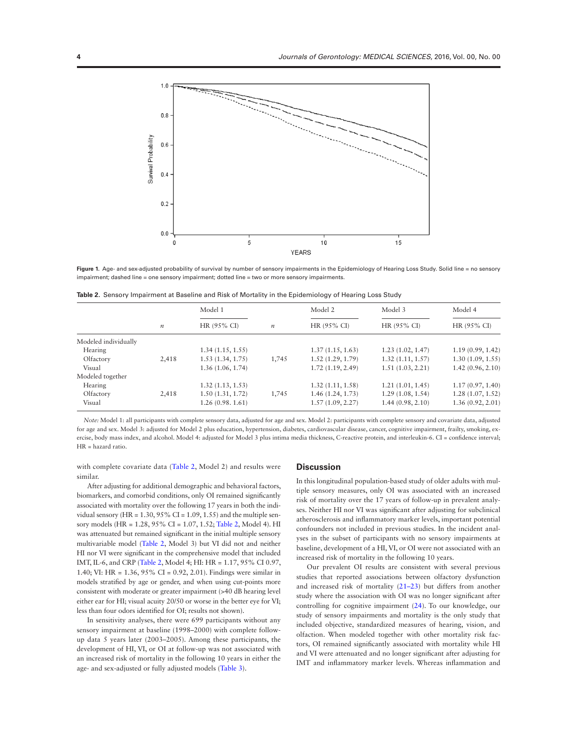

**Figure** 1. Age- and sex-adjusted probability of survival by number of sensory impairments in the Epidemiology of Hearing Loss Study. Solid line = no sensory impairment; dashed line = one sensory impairment; dotted line = two or more sensory impairments.

| Table 2. Sensory Impairment at Baseline and Risk of Mortality in the Epidemiology of Hearing Loss Study |
|---------------------------------------------------------------------------------------------------------|
|---------------------------------------------------------------------------------------------------------|

|                      |                  | Model 1<br>HR (95% CI) | $\boldsymbol{n}$ | Model 2<br>HR (95% CI) | Model 3<br>HR (95% CI) | Model 4<br>HR (95% CI) |
|----------------------|------------------|------------------------|------------------|------------------------|------------------------|------------------------|
|                      | $\boldsymbol{n}$ |                        |                  |                        |                        |                        |
| Modeled individually |                  |                        |                  |                        |                        |                        |
| Hearing              |                  | 1.34(1.15, 1.55)       |                  | 1.37(1.15, 1.63)       | 1.23(1.02, 1.47)       | 1.19(0.99, 1.42)       |
| Olfactory            | 2.418            | 1.53(1.34, 1.75)       | 1,745            | 1.52(1.29, 1.79)       | 1.32(1.11, 1.57)       | 1.30(1.09, 1.55)       |
| Visual               |                  | 1.36(1.06, 1.74)       |                  | 1.72(1.19, 2.49)       | 1.51(1.03, 2.21)       | 1.42(0.96, 2.10)       |
| Modeled together     |                  |                        |                  |                        |                        |                        |
| Hearing              |                  | 1.32(1.13, 1.53)       |                  | 1.32(1.11, 1.58)       | 1.21(1.01, 1.45)       | 1.17(0.97, 1.40)       |
| Olfactory            | 2,418            | 1.50(1.31, 1.72)       | 1,745            | 1.46(1.24, 1.73)       | 1.29(1.08, 1.54)       | 1.28(1.07, 1.52)       |
| Visual               |                  | 1.26(0.98, 1.61)       |                  | 1.57(1.09, 2.27)       | 1.44(0.98, 2.10)       | 1.36 (0.92, 2.01)      |

*Note:* Model 1: all participants with complete sensory data, adjusted for age and sex. Model 2: participants with complete sensory and covariate data, adjusted for age and sex. Model 3: adjusted for Model 2 plus education, hypertension, diabetes, cardiovascular disease, cancer, cognitive impairment, frailty, smoking, exercise, body mass index, and alcohol. Model 4: adjusted for Model 3 plus intima media thickness, C-reactive protein, and interleukin-6. CI = confdence interval; HR = hazard ratio.

with complete covariate data (Table 2, Model 2) and results were similar.

After adjusting for additional demographic and behavioral factors, biomarkers, and comorbid conditions, only OI remained signifcantly associated with mortality over the following 17 years in both the individual sensory (HR =  $1.30, 95\%$  CI =  $1.09, 1.55$ ) and the multiple sensory models (HR = 1.28, 95% CI = 1.07, 1.52; Table 2, Model 4). HI was attenuated but remained signifcant in the initial multiple sensory multivariable model (Table 2, Model 3) but VI did not and neither HI nor VI were signifcant in the comprehensive model that included IMT, IL-6, and CRP (Table 2, Model 4; HI: HR = 1.17, 95% CI 0.97, 1.40; VI: HR = 1.36, 95% CI = 0.92, 2.01). Findings were similar in models stratifed by age or gender, and when using cut-points more consistent with moderate or greater impairment (>40 dB hearing level either ear for HI; visual acuity 20/50 or worse in the better eye for VI; less than four odors identifed for OI; results not shown).

In sensitivity analyses, there were 699 participants without any sensory impairment at baseline (1998–2000) with complete followup data 5 years later (2003–2005). Among these participants, the development of HI, VI, or OI at follow-up was not associated with an increased risk of mortality in the following 10 years in either the age- and sex-adjusted or fully adjusted models (Table 3).

#### **Discussion**

In this longitudinal population-based study of older adults with multiple sensory measures, only OI was associated with an increased risk of mortality over the 17 years of follow-up in prevalent analyses. Neither HI nor VI was signifcant after adjusting for subclinical atherosclerosis and infammatory marker levels, important potential confounders not included in previous studies. In the incident analyses in the subset of participants with no sensory impairments at baseline, development of a HI, VI, or OI were not associated with an increased risk of mortality in the following 10 years.

Our prevalent OI results are consistent with several previous studies that reported associations between olfactory dysfunction and increased risk of mortality (21–23) but differs from another study where the association with OI was no longer signifcant after controlling for cognitive impairment (24). To our knowledge, our study of sensory impairments and mortality is the only study that included objective, standardized measures of hearing, vision, and olfaction. When modeled together with other mortality risk factors, OI remained signifcantly associated with mortality while HI and VI were attenuated and no longer signifcant after adjusting for IMT and infammatory marker levels. Whereas infammation and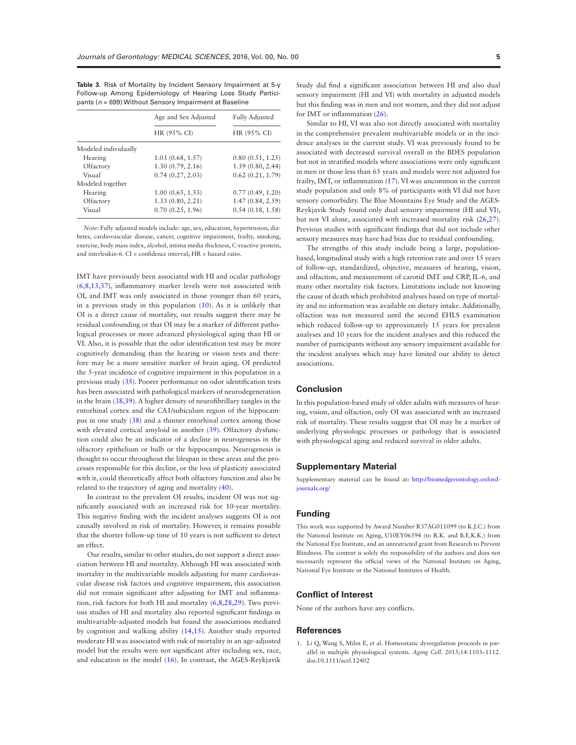**Table 3.** Risk of Mortality by Incident Sensory Impairment at 5-y Follow-up Among Epidemiology of Hearing Loss Study Participants (*n* = 699) Without Sensory Impairment at Baseline

|                      | Age and Sex Adjusted | <b>Fully Adjusted</b><br>HR (95% CI) |  |
|----------------------|----------------------|--------------------------------------|--|
|                      | HR (95% CI)          |                                      |  |
| Modeled individually |                      |                                      |  |
| Hearing              | 1.03(0.68, 1.57)     | 0.80(0.51, 1.25)                     |  |
| Olfactory            | 1.30(0.79, 2.16)     | 1.39(0.80, 2.44)                     |  |
| Visual               | 0.74(0.27, 2.03)     | 0.62(0.21, 1.79)                     |  |
| Modeled together     |                      |                                      |  |
| Hearing              | 1.00(0.65, 1.53)     | 0.77(0.49, 1.20)                     |  |
| Olfactory            | 1.33(0.80, 2.21)     | 1.47 (0.84, 2.59)                    |  |
| Visual               | 0.70(0.25, 1.96)     | 0.54(0.18, 1.58)                     |  |

*Note:* Fully adjusted models include: age, sex, education, hypertension, diabetes, cardiovascular disease, cancer, cognitive impairment, frailty, smoking, exercise, body mass index, alcohol, intima media thickness, C-reactive protein, and interleukin-6. CI = confdence interval; HR = hazard ratio.

IMT have previously been associated with HI and ocular pathology (6,8,13,37), infammatory marker levels were not associated with OI, and IMT was only associated in those younger than 60 years, in a previous study in this population  $(10)$ . As it is unlikely that OI is a direct cause of mortality, our results suggest there may be residual confounding or that OI may be a marker of different pathological processes or more advanced physiological aging than HI or VI. Also, it is possible that the odor identifcation test may be more cognitively demanding than the hearing or vision tests and therefore may be a more sensitive marker of brain aging. OI predicted the 5-year incidence of cognitive impairment in this population in a previous study (35). Poorer performance on odor identifcation tests has been associated with pathological markers of neurodegeneration in the brain (38,39). A higher density of neurofbrillary tangles in the entorhinal cortex and the CA1/subiculum region of the hippocampus in one study (38) and a thinner entorhinal cortex among those with elevated cortical amyloid in another (39). Olfactory dysfunction could also be an indicator of a decline in neurogenesis in the olfactory epithelium or bulb or the hippocampus. Neurogenesis is thought to occur throughout the lifespan in these areas and the processes responsible for this decline, or the loss of plasticity associated with it, could theoretically affect both olfactory function and also be related to the trajectory of aging and mortality (40).

In contrast to the prevalent OI results, incident OI was not signifcantly associated with an increased risk for 10-year mortality. This negative fnding with the incident analyses suggests OI is not causally involved in risk of mortality. However, it remains possible that the shorter follow-up time of 10 years is not suffcient to detect an effect.

Our results, similar to other studies, do not support a direct association between HI and mortality. Although HI was associated with mortality in the multivariable models adjusting for many cardiovascular disease risk factors and cognitive impairment, this association did not remain signifcant after adjusting for IMT and infammation, risk factors for both HI and mortality (6,8,28,29). Two previous studies of HI and mortality also reported signifcant fndings in multivariable-adjusted models but found the associations mediated by cognition and walking ability (14,15). Another study reported moderate HI was associated with risk of mortality in an age-adjusted model but the results were not signifcant after including sex, race, and education in the model (16). In contrast, the AGES-Reykjavik Study did fnd a signifcant association between HI and also dual sensory impairment (HI and VI) with mortality in adjusted models but this fnding was in men and not women, and they did not adjust for IMT or infammation (26).

Similar to HI, VI was also not directly associated with mortality in the comprehensive prevalent multivariable models or in the incidence analyses in the current study. VI was previously found to be associated with decreased survival overall in the BDES population but not in stratifed models where associations were only signifcant in men or those less than 65 years and models were not adjusted for frailty, IMT, or infammation (17). VI was uncommon in the current study population and only 8% of participants with VI did not have sensory comorbidity. The Blue Mountains Eye Study and the AGES-Reykjavik Study found only dual sensory impairment (HI and VI), but not VI alone, associated with increased mortality risk (26,27). Previous studies with signifcant fndings that did not include other sensory measures may have had bias due to residual confounding.

The strengths of this study include being a large, populationbased, longitudinal study with a high retention rate and over 15 years of follow-up, standardized, objective, measures of hearing, vision, and olfaction, and measurement of carotid IMT and CRP, IL-6, and many other mortality risk factors. Limitations include not knowing the cause of death which prohibited analyses based on type of mortality and no information was available on dietary intake. Additionally, olfaction was not measured until the second EHLS examination which reduced follow-up to approximately 15 years for prevalent analyses and 10 years for the incident analyses and this reduced the number of participants without any sensory impairment available for the incident analyses which may have limited our ability to detect associations.

#### **Conclusion**

In this population-based study of older adults with measures of hearing, vision, and olfaction, only OI was associated with an increased risk of mortality. These results suggest that OI may be a marker of underlying physiologic processes or pathology that is associated with physiological aging and reduced survival in older adults.

#### **Supplementary Material**

Supplementary material can be found at: http://biomedgerontology.oxfordjournals.org/

#### **Funding**

This work was supported by Award Number R37AG011099 (to K.J.C.) from the National Institute on Aging, U10EY06594 (to R.K. and B.E.K.K.) from the National Eye Institute, and an unrestricted grant from Research to Prevent Blindness. The content is solely the responsibility of the authors and does not necessarily represent the official views of the National Institute on Aging, National Eye Institute or the National Institutes of Health.

# **Conflict of Interest**

None of the authors have any conficts.

#### **References**

1. Li Q, Wang S, Milot E, et al. Homeostatic dysregulation proceeds in parallel in multiple physiological systems. *Aging Cell*. 2015;14:1103–1112. doi:10.1111/acel.12402